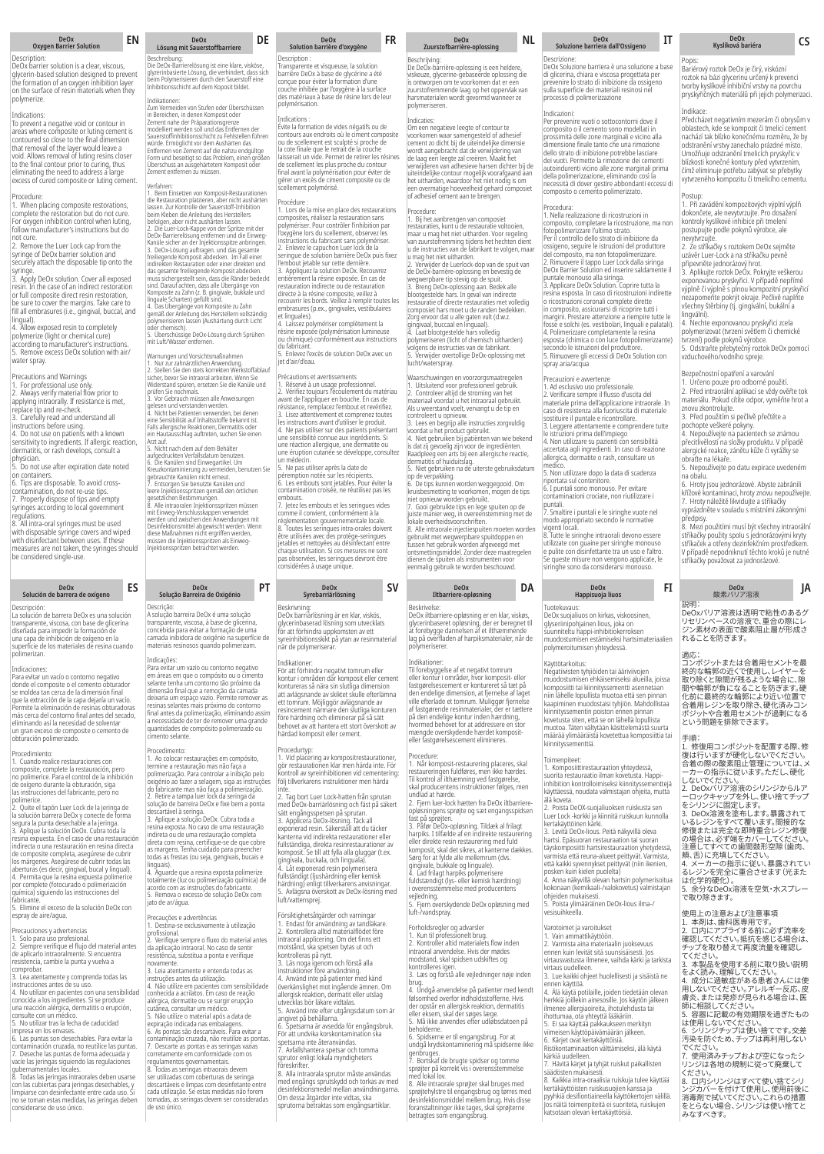# **DeOx Oxygen Barrier Solution**

## Description:

DeOx barrier solution is a clear, viscous, glycerin-based solution designed to prevent the formation of an oxygen inhibition layer on the surface of resin materials when they polymerize.

Indications: To prevent a negative void or contour in areas where composite or luting cement is contoured so close to the final dimension that removal of the layer would leave a void. Allows removal of luting resins closer to the final contour prior to curing, thus eliminating the need to address a large excess of cured composite or luting cement.

## Procedure:

1. When placing composite restorations, complete the restoration but do not cure. For oxygen inhibition control when luting, follow manufacturer's instructions but do<br>not cure.

not cure. 2. Remove the Luer Lock cap from the syringe of DeOx barrier solution and securely attach the disposable tip onto the

syringe. 3. Apply DeOx solution. Cover all exposed resin. In the case of an indirect restoration<br>or full composite direct resin restoration,<br>be sure to cover the margins. Take care to<br>fill all embrasures (i.e., gingival, buccal, and

lingual). 4. Allow exposed resin to completely polymerize (light or chemical cure) according to manufacturer's instructions. 5. Remove excess DeOx solution with air/ ater spray.

Precautions and Warnings

1. For professional use only. 2. Always verify material flow prior to applying intraorally. If resistance is met,<br>replace tip and re-check.

replace tip and re-check. 3. Carefully read and understand all instructions before using. 4. Do not use on patients with a known sensitivity to ingredients. If allergic reaction, dermatitis, or rash develops, consult a

physician. 5. Do not use after expiration date noted

on containers.<br>6. Tips are disposable. To avoid cross-6. Tips are disposable. To avoid cross-contamination, do not re-use tips. 7. Properly dispose of tips and empty syringes according to local government regulations.

8. All intra-oral syringes must be used

with disposable syringe covers and wiped with disinfectant between uses. If these measures are not taken, the syringes should be considered single-use

# **DeOx Solución de barrera de oxígeno**

Descripción:<br>La solución de barrera DeOx es una solu La solución de barrera DeOx es una solución<br>transparente, viscosa, con base de glicerina<br>diseñada para impedir la formación de<br>una capa de inhibición de oxígeno en la<br>superficie de los materiales de resina cuando<br>polimeriz

Indicaciones:<br>Para evitar un vacío o contorno negativo<br>donde el composite o el cemento obturador<br>se moldea tan cerca de la dimensión final<br>que la extracción de la capa dejaría un vacío.<br>Permite la eliminación de resinas ob

Procedimiento: 1. Cuando realice restauraciones con composite, complete la restauración, pero no polimerice. Para el control de la inhibición de oxígeno durante la obturación, siga las instrucciones del fabricante, pero no

polimerice.<br>2. Quite el tapón Luer Lock de la jeringa de<br>2. Quiteón barrera DeOx y conecte de forma<br>la solución barrera DeOx y conecte de forma<br>3. Aplique la solución DeOx. Cubra toda la<br>resina expuesta. En el caso de una

5. Elimine el exceso de la solución DeOx con espray de aire/agua.

Precauciones y advertencias

1. Solo para uso profesional. 2. Siempre verifique el flujo del material antes de aplicarlo intraoralmente. Si encuentra resistencia, cambie la punta y vuelva a

comprobar.<br>3. Lea atentamente y comprenda todas las

3. Lea atentamente y comprenda todas las<br>instrucciones antes de su uso.<br>4. No utilizar en pacientes con una sensibilidad<br>conocida a los ingredientes. Si se produce<br>una reacción alérgica, dermatitis o erupción,<br>consulte con

## **EN DE FR NL IT DeOx Soluzione barriera dall'Ossigeno DeOx Lösung mit Sauerstoffbarriere**

Beschreibung: Die DeOx-Barrierelösung ist eine klare, visköse, glyzerinbasierte Lösung, die verhindert, dass sich beim Polymerisieren durch den Sauerstoff eine Inhibitionsschicht auf dem Koposit bildet.

Indikationen: Zum Vermeiden von Stufen oder Überschüssen in Bereichen, in denen Komposit oder Zement nahe der Präparationsgrenze modelliert werden soll und das Entfernen der Sauerstoffinhibitionsschicht zu Fehlstellen führen<br>würde. Ermöglicht vor dem Aushärten das<br>Entfernen von Zement auf die nahzu endgültge<br>Form und beseitigt so das Problem, einen größen<br>Überschuss an ausgehärtetem Komposit o

Verfahren: 1. Beim Einsetzen von Komposit-Restaurationen die Restauration platzieren, aber nicht aushärten lassen. Zur Kontrolle der Sauerstoff-Inhibition bein Kleben die Anleitung des Herstellers<br>befolgen, aber nicht aushätten lassen.<br>2. Die Luer-Lock-Kappe von der Spritze mit der ENDEO-R-Barriereiösung entfernen und die Einweg-<br>Bandle sicher an der Injektionsspitze anbirin

polymerisieren lassen (Aushärtung durch Licht oder chemisch). 5. Überschüssige DeOx-Lösung durch Sprühen mit Luft/Wasser entfernen.

ngen und Vorsichtsmaßnahm 1. Nur zur zahnärztlichen Anwendung. 2. Stellen Sie den stets korrekten Werkstoffablauf sicher, bevor Sie intraoral arbeiten. Wenn Sie Widerstand spüren, ersetzen Sie die Kanüle und prüfen Sie nochmals. 3. Vor Gebrauch müssen alle Anweisungen gelesen und verstanden werden.<br>4. Nicht bei Patienten verwenden, bei denen<br>eine Sensibilität auf Inhaltsstoffe bekannt ist.<br>Falls allergische Reaktionen, Dermatitis oder<br>ein Hautausschlag auftreten, suchen Sie einen<br>Arzt a

5. Nicht nach dem auf dem Behälter<br>aufgedruckten Verfallsdatum benutzen.<br>6. Die Kanülen sind Einwegartikel. Um<br>Kreuzkontaminierung zu vermeiden, benutzen Sie<br>gebrauchte Kanülen nicht erneut.<br>7. Entsorgen Sie benutzte Kanül mit Einweg-Verschlusskappen verwendet<br>werden und zwischen den Anwendungen mit<br>Desinfektionsmittel abgewischt werden. Wenn<br>diese Maßnahmen nicht ergriffen werden,<br>müssen die Injektionsspritzen blatzen erden.<br>Injektionssprit

# **ES PT SV DA FI DeOx Solução Barreira de Oxigénio**

Descrição:<br>A solução barreira DeOx é uma solução A solução barreira DeOx é uma solução transparente, viscosa, à base de glicerina, concebida para evitar a formação de uma camada inibidora de oxigénio na superfície de materiais resinosos quando polimerizam.

Indicações:<br>Para evitar um vazio ou contorno negativo Para evitar um vazio ou contorno negativo em áreas em que o compósito ou o cimento selante tenha um contorno tão próximo da dimensão final que a remoção da camada deixaria um espaço vazio. Permite remover as resinas selantes mais próximo do contorno final antes da polimerização, eliminando assin<br>a necessidade de ter de remover uma grande a necessidade de ter de remover uma grande quantidades de compósito polimerizado ou cimento selante.

## Procedimento:

1. Ao colocar restaurações em compósito, termine a restauração mas não faça a<br>polimerização. Para controlar a inibição pelo<br>oxigénio ao fazer a selagem, siga as instruções<br>do fabricante mas não faça a polimerização.<br>2. Retire a tampa luer lock da seringa da<br>soluç

descartável à seringa.<br>3. Aplique a solução DeOx. Cubra toda a<br>resina exposta. No caso de uma restauração<br>indireta ou de uma restauração completa<br>direta com resina, certifique-se de que cobre<br>as margens. Tenha cuidado para

imguais).<br>4. Aquarde que a resina exposta polimerize totalmente (luz ou polimerização química) de acordo com as instruções do fabricante. 5. Remova o excesso de solução DeOx com jato de ar/água.

### Precauções e advertências 1. Destina-se exclusivamente à utilização

profissional. 2. Verifique sempre o fluxo do material antes da aplicação intraoral. No caso de sentir resistência, substitua a ponta e verifique<br>novamente

novamente. 3. Leia atentamente e entenda todas as instruções antes da utilização. 4. Não utilize em pacientes com sensibilidade conhecida a acrilatos. Em caso de reação alérgica, dermatite ou se surgir erupção cutânea, consultar um médico.<br>5. Não utilize o material após a data de 5. Não utilize o material após a data de<br>expiração indicada nas embalagens.<br>6. As pontas são descartáveis. Para evitar a<br>contaminação cruzada, não reutilize as pontas.<br>7. Descarte as pontas e as ereingas vazias<br>corretament

# **DeOx Solution barrière d'oxygène**

**Description** Transparente et visqueuse, la solution barrière DeOx à base de glycérine a été conçue pour éviter la formation d'une couche inhibée par l'oxygène à la surface des matériaux à base de résine lors de leur polymérisation.

Indications :<br>Évite la formation de vides négatifs ou de<br>contours aux endroits où le ciment composite<br>ou de scellement est sculpté si proche de<br>la cote finale que le retait de la couche<br>laisserait un vide. Permet de retire

## Procédure :

1. Lors de la mise en place des restaurations composites, réalisez la restauration sans polymériser. Pour contrôler l'inhibition par l'oxygène lors du scellement, observez les gene rections du fabricant sans polymériser. 2. Enlevez le capuchon Luer lock de la seringue de solution barrière DeOx puis fixez mbout jetable sur cette dernière 3. Appliquez la solution DeOx. Recouvrez entièrement la résine exposée. En cas de restauration indirecte ou de restauration directe à la résine composite, veillez à recouvrir les bords. Veillez à remplir toutes les

embrasures (p.ex., gingivales, vestibulaires et linguales). <sub>t ini</sub>guales).<br><sub>.</sub> Laissez polymériser complètement la résine exposée (polymérisation lumineuse ou chimique) conformément aux instructions

du fabricant. 5. Enlevez l'excès de solution DeOx avec un jet d'air/d'eau.

Précautions et avertissements<br>1. Réservé à un usage professionnel.<br>2. Vérifiez toujours l'écoulement du matériau<br>2. Vérifiez toujours l'écoulement du matériau<br>vant de l'appliquer en bouche. En cas de<br>3. Lisez attentivement

un medecin.<br>5. Ne pas utiliser après la date de péremption notée sur les récipients. 6. Les embouts sont jetables. Pour éviter la contamination croisée, ne réutilisez pas les embouts.

embouts.<br>7. Jetez les embouts et les seringues vides me il convient, conformér réglementation gouvernementale locale. 8. Toutes les seringues intra-orales doivent être utilisées avec des protège-seringues jetables et nettoyées au désinfectant entre chaque utilisation. Si ces mesures ne sont pas observées, les seringues devront être considérées à usage unique.

# **DeOx Syrebarriärlösning**

Beskrivning: DeOx barriärlösning är en klar, viskös, glycerinbaserad lösning som utvecklats för att förhindra uppkomsten av ett syreinhibitionsskikt på ytan av resinmaterial när de polymeriserar.

Indikationer: För att förhindra negativt tomrum eller kontur i områden där komposit eller cement kontureras så nära sin slutliga dimension att avlägsnande av skiktet skulle efterlämna ett tomrum. Möjliggör avlägsnande av resincement närmare den slutliga konturen före härdning och eliminerar på så sätt behovet av att hantera ett stort överskott av härdad komposit eller cement.

Procedurtyp:<br>1. Vid placering av kompositrestaurationer,<br>gör restaurationen klar men härda inte. För<br>kontroll av syreinhibitionen vid cementering:<br>följ tillverkarens instruktioner men härda inte.<br>2. Tag bort Luer Lock-hatten från sprutan

med DeOx-barriärlösning och fäst på säkert sätt engångsspetsen på sprutan. 3. Applicera DeOx-lösning. Täck all exponerad resin. Säkerställ att du täcker

kanterna vid indirekta restaurationer eller fullständiga, direkta resinrestaurationer av komposit. Se till att fylla alla gluggar (t.ex. gingivala, buckala, och linguala). 4. Låt exponerad resin polymerisera fullständigt (ljushärdning eller kemisk härdning) enligt tillverkarens anvisningar. 5. Avlägsna överskott av DeOx-lösning med luft/vattensprej.

Försiktighetsåtgärder och varningar 1. Endast för användning av tandläkare. 2. Kontrollera alltid materialflödet före intraoral applicering. Om det finns ett motstånd, ska spetsen bytas ut och kontrolleras på nytt. 3. Läs noga igenom och förstå alla instruktioner före användning. 4. Använd inte på patienter med känd överkänslighet mot ingående ämnen. Om<br>allergisk reaktion, dermatit eller utslag<br>utvecklas bör läkare vidtalas.<br>5. Använd inte efter utgångsdatum som är<br>angivet på behållarna.<br>6. Spetsarna är avsedda för engångsbruk.<br>För at ireskrifter. 8. Alla intraorala sprutor måste användas med engångs sprutskydd och torkas av med

desinfektionsmedel mellan användningarna. Om dessa åtgärder inte vidtas, ska sprutorna betraktas som engångsartiklar.

# **DeOx Zuurstofbarrière-oplossing**

Om een negatieve leegte of contour te voorkomen waar samengesteld of adhesief cement zo dicht bij de uiteindelijke dimensie wordt aangebracht dat de verwijdering van de laag een leegte zal creëren. Maakt het<br>verwijderen van adhesieve harsen dichter bij de<br>uiteindelijke contour mogelijk voorafgaand aan<br>het uitharden, waardoor het niet nodig is om een overmatige hoeveelheid gehard composiet of adhesief cement aan te brengen.

...........<br>:Ox-barrière-oplossing is een helder<br>!ze, glycerine-gebaseerde oplossing viskeuze, glycerine-gebaseerde oplossing die is ontworpen om te voorkomen dat er een zuurstofremmende laag op het oppervlak van harsmaterialen wordt gevormd wanneer ze

Procedure:<br>1. Bij het aanbrengen van composiet<br>restauraties, kunt u de restauratie voltooien,<br>maar u mag het niet uitharden. Voor regeling<br>van zuurstofremming tijdens het hechten dient<br>u de instructies van de fabrikant te

de DeOx-barrière-oplossing en bevestig de wegwerpbare tip stevig op de spuit. 3. Breng DeOx-oplossing aan. Bedek alle blootgestelde hars. In geval van indirecte restauratie of directe restauraties met volledig mposiet hars moet u de randen bedekker Zorg ervoor dat u alle gaten vult (d.w.z. gingivaal, buccaal en linguaal). 4. Laat blootgestelde hars volledig

polymeriseren (licht of chemisch uitharden) volgens de instructies van de fabrikant. 5. Verwijder overtollige DeOx-oplossing met

Als u weerstand voelt, vervangt u de tip en<br>controleert u opnieuw.<br>3. Lees en begrijp alle instructies zorgvuldig<br>3. Lees en begrijp alle instructies zorgvuldig<br>4. Niet gebruiken bij patiënten van wie bekend<br>is dat zij gev

Beskrivelse:<br>DeOx iltbarriere-opløsning er en klar, viskøs,<br>glycerinbaseret opløsning, der er beregnet til<br>at forebygge dannelsen af et ilthæmmende<br>lag på overfladen af harpiksmaterialer, når de<br>polymeriserer.

Indikationer: Til forebyggelse af et negativt tomrum eller kontur i områder, hvor komposit- eller fastgørelsescement er kontureret så tæt på den endelige dimension, at fjernelse af laget ville efterlade et tomrum. Muliggør fierne af fastgørende resinmaterialer, der er tættere på den endelige kontur inden hærdning, hvormed behovet for at addressere en stor mængde overskydende hærdet komposit-eller fastgørelsescement elimineres.

**DeOx Iltbarriere-opløsning**

Procedure: 1. Når komposit-restaurering placeres, skal restaureringen fuldføres, men ikke hærdes. Til kontrol af ilthæmning ved fastgørelse, skal producentens instruktioner følges, men undlad at hærde.<br>2. Fiern luer-lock hætten fra DeOx iltbarriere 2. Fjern luer-lock hætten fra DeOx iltbarriere-opløsningens sprøjte og sæt engangsspidsen fast på sprøjten. 3. Påfør DeOx-opløsning. Tildæk al frilagt

harpiks. I tilfælde af en indirekte restaurering<br>eller direkte resin restaurering med fuld<br>komposit, skal det sikres, at kanterne dækkes.<br>Sørg for at fylde alle mellemrum (dvs.<br>gingivale, bukkale og linguale).<br>4. Lad frila

vejledning. 5. Fjern overskydende DeOx opløsning med

1. Kun til professionelt brug. 2. Kontroller altid materialets flow inden intraoral anvendelse. Hvis der mødes modstand, skal spidsen udskiftes og kontrolleres igen. 3. Læs og forstå alle vejledninger nøje inden

brug.<br>4. Undgå anvendelse på patienter med kendt<br>følsomhed overfor indholdsstofferne. Hvis følsomhed overfor indholdsstofferne. Hvis der opstår en allergisk reaktion, dermatitis eller eksem, skal der søges læge. 5. Må ikke anvendes efter udløbsdatoen på

beholderne. 6. Spidserne er til engangsbrug. For at undgå krydskontaminering må spidserne ikke enbruges.<br>enbruges.<br>Bortskaf de brugte spidser og tomme

7. Bortskaf de brugte spidser og tomme<br>sprøjter på korrekt vis i overensstemmelse<br>med lokal lov.<br>8. Alle intraorale sprøjter skal bruges med<br>sprøjtehylstre til engangsbrug og tørres med<br>desinfektionsmiddel mellem brug. Hvi

luft-/vandspray. Forholdsregler og advarsler

brug.

Waarschuwingen en voorzorgsmaatrege 1. Uitsluitend voor professioneel gebruik. 2. Controleer altijd de stroming van het materiaal voordat u het intraoraal gebruikt.

lucht/waterspray.

Beschrijving:<br>De DeOx-bar

polymeriseren. ndicaties

Descrizione: DeOx Soluzione barriera è una soluzione a base di glicerina, chiara e viscosa progettata per prevenire lo strato di inibizione da ossigeno sulla superficie dei materiali resinosi nel

Popis: Bariérový roztok DeOx je čirý, viskózní roztok na bázi glycerinu určený k prevenci tvorby kyslíkové inhibiční vrstvy na povrchu pryskyřičných materiálů při jejich polymerizaci.

**DeOx Kyslíková bariéra CS**

Předcházet negativním mezerám či obrysům v oblastech, kde se kompozit či tmelicí cement nachází tak blízko konečnému rozměru, že by odstranění vrstvy zanechalo prázdné místo. Umožňuje odstranění tmelicích pryskyřic v blízkosti konečné kontury před vytvrzením, čímž eliminuje potřebu zabývat se přebytky vytvrzeného kompozitu či tmelicího cementu.

Postup: 1. Při zavádění kompozitových výplní výplň dokončete, ale nevytvrzujte. Pro dosažení kontroly kyslíkové inhibice při tmelení postupujte podle pokynů výrobce, ale nevytvrzujte. 2. Ze stříkačky s roztokem DeOx sejměte uzávěr Luer-Lock a na stříkačku pevně připevněte jednorázový hrot. 3. Aplikujte roztok DeOx. Pokryjte veškerou exponovanou pryskyřici. V případě nepřímé výplně či výplně s plnou kompozitní pryskyřicí ezapomeňte pokrýt okraje. Pečlivě naplňte všechny štěrbiny (tj. gingivální, bukální a lingvální). 4. Nechte exponovanou pryskyřici zcela polymerizovat (tvrzení světlem či chemické tvrzení) podle pokynů výrobce. 5. Odstraňte přebytečný roztok DeOx pomocí vzduchového/vodního spreje.

Bezpečnostní opatření a varování

obraťte na lékaře.

れることを防ぎま

適応:

1. Určeno pouze pro odborné použití.<br>2. Před intraorální aplikací se vždy ověřte tok<br>materiálu. Pokud cítíte odpor, vyměňte hrot a<br>znovu zkontrolujte.<br>3. Před použitím si pečlivě přečtěte a

pochopte veškeré pokyny. 4. Nepoužívejte na pacientech se známou přecitlivělostí na složky produktu. V případě alergické reakce, zánětu kůže či vyrážky se

5. Nepoužívejte po datu expirace uvedeném na obalu. 6. Hroty jsou jednorázové. Abyste zabránili křížové kontaminaci, hroty znovu nepoužívejte. 7. Hroty náležitě likvidujte a stříkačky vyprázdněte v souladu s místními zákonnými

předpisy. 8. Mezi použitími musí být všechny intraorální stříkačky použity spolu s jednorázovými kryty stříkaček a otřeny dezinfekčním prostředkem. V případě nepodniknutí těchto kroků je nutné stříkačky považovat za jednorázové.

説明: DeOxバリア溶液は透明で粘性のあるグ リセリンベースの溶液で、重合の際にレ ジン素材の表面で酸素阻止層が形成さ

**DeOx** 酸素バリア溶液 **JA**

コンポジットまたは合着用セメントを最 終的な輪郭の近くで使用し、レイヤーを<br>取り除くと隙間が残るような場合に、隙 取り除くと隙間が残るような場合に、隙 間や輪郭が負になることを防ぎます。硬 化前に最終的な輪郭により近い位置で

合着用レジンを取り除き、硬化済みコン ポジットや合着用セメントが過剰になる という問題を排除できます。

手順: 1. 修復用コンポジットを配置する際、修 復は行いますが硬化しないでください。 合着の際の酸素阻止管理については、メ ーカーの指示に従います。ただし、硬化 -カーの指示に従いより。たたし、硬化<br>ないでください。<br>. DeOxバリア溶液のシリンジからルア 2. DeOxバリア溶液のシリンジからルア ーロックキャップを外し、使い捨てチップ をシリンジに固定します。 3. DeOx溶液を塗布します。暴露されて

いるレジンをすべて覆います。間接的な 修復または完全な即時重合レジン修復 の場合は、必ず端をカバーしてください。 注意してすべての歯間鼓形空隙(歯肉、

頬、舌)に充填してください。 4. メーカーの指示に従い、暴露されてい コン・ファンコンによる<br>エンジンを完全に重合させます (光また は化学的硬化)。 5. 余分なDeOx溶液を空気・水スプレー で取り除きます。

使用上の注意および注意事項 1. 本剤は、歯科医専用です。 2. 口内にアプライする前に必ず流率を 確認してください。抵抗を感じる場合は、 チップを取り替えて再度流量を確認し

てください。<br>3. 本製品を使用する前に取り扱い説明 3. 本製品を使用する前に取り扱い説明 をよく読み、理解してください。 4. 成分に過敏症がある患者さんには使 用しないでください。アレルギー反応、皮 用しないでください。アレルギー反応、皮<br>膚炎、または発疹が見られる場合は、医<br>師に相談してください。

師に相談してください。 5. 容器に記載の有効期限を過ぎたもの は使用しないでください。 6. シリンジチップは使い捨てです。交差 汚染を防ぐため、チップは再利用しない

でください。 7. 使用済みチップおよび空になったシ リンジは各地の規制に従って廃棄して

ください。 8. 口内シリンジはすべて使い捨てシリ ンジカバーを付けて使用し、使用前後に 消毒剤で拭いてください。これらの措置 をとらない場合、シリンジは使い捨てと みなすべきす。

Indikace:

processo di polimerizzazione

Indicazioni:<br>Per prevenire vuoti o sottocontorni dove il Per prevenire vuoti o sottocontorni dove il<br>composito o il cemento sono modellati in<br>prossimità delle zone marginali e vicino alla<br>dimensione finale tanto che una rimozione<br>dello strato di inibizione portebbe lasciare<br>del

Procedura:<br>1. Nella realizzazione di ricostruzioni in 1. Nella realizzazione di ricostruzioni in<br>composito, completare la ricostruzione, ma non<br>fotopolimerizzare l'ultimo strato.<br>Per il controllo dello strato di inibizione da<br>ossigeno, seguire le istruzioni del produttore<br>del DeOx Barrier Solution ed inserire saldamente il puntale monouso alla siringa. 3. Applicare DeOx Solution. Coprire tutta la resina esposta. In caso di ricostruzioni indirette o ricostruzioni coronali complete dirette in composito, assicurarsi di ricoprire tutti i margini. Prestare attenzione a riempire tutte le fosse e solchi (es. vestibolari, linguali e palatali). 4. Polimerizzare completamente la resina esposta (chimica o con luce fotopolimerizzante) secondo le istruzioni del produttore. 5. Rimuovere gli eccessi di DeOx Solution con spray aria/acqua

Precauzioni e awertenze<br>1. Ad esclusivo uso professionale.<br>2. Verificare sempre il flusso d'uscita del<br>2. Verificare sempre il flusso d'uscita di materiale. In<br>caso di resistenza alla fuoriuscita di materiale<br>5. storiurie

edico.<br>Non utilizzare dopo la data di scadenza riportata sul contenitore. 6. I puntali sono monouso. Per evitare contaminazioni crociate, non riutilizzare i

puntali. 7. Smaltire i puntali e le siringhe vuote nel nodo appropriato secondo le normativ

vigenti locali. enu iocaii.<br>Tutte le siringhe intraorali devono essere utilizzate con guaine per siringhe monouso e pulite con disinfettante tra un uso e l'altro. Se queste misure non vengono applicate, le siringhe sono da considerarsi monouso.

# **DeOx Happisuoja liuos**

Tuotekuvaus:<br>Tuotekuvaus:<br>DeOx suojaliuos on kirkas, viskoosinen, DeOx suojaliuos on kirkas, viskoosinen,<br>glyseriinipohjainen lious, joka on<br>suunniteltu happi-inhibitiokerroksen<br>muodostumisen estämiseksi hartsimateriaalien

polymeroitumisen yhteydessä.

Käyttötarkoitus:<br>Negatiivisten tyhjiöiden tai ääriviivojen<br>muodostumisen ehkäisemiseksi alueilla, joissa<br>komposiitti tai kiinnityssementti asennetanan<br>niin lähelle lopullista muotoa että sen pinnan<br>kaapiminen muodostaisi t kiinnityssementin poiston ennen pinnan<br>kovetusta siten, että se on lähellä lopullista muotoa. Täten vältytään käsittelemästä suurta määrää ylimääräistä kovetettua komposiittia tai kiinnityssementtiä.

## Toimenniteet<sup>.</sup>

1. Komposiittirestauraation yhteydessä, suorita restauraatio ilman kovetusta. Happi-inhibition kontrolloimiseksi kiinnityssementtejä käyttäessä, noudata valmistajan ohjeita, mutta

älä koveta. 2. Poista DeOX-suojaliuoksen ruiskusta sen Luer Lock -korkki ja kiinnitä ruiskuun kunnolla kertakäyttöinen kärki. 3. Levitä DeOx-lious. Peitä näkyvillä oleva

hartsi. Epäsuoran restauraation tai suoran täyskomposiitti hartsirestauraation yhetydessä, nista että reuna-alueet peittyvät. Varmista että kaikki syvennykset peittyvät (niin ikenien,<br>posken kuin kielen puolelta)<br>4. Anna näkyvillä olevan hartsin polymerisoitua<br>kokonaan (kemikaali-/valokovetus) valmistajan

ohjeiden mukaisesti. 5. Poista ylimääräinen DeOx-lious ilma-/ vesisuihkeella.

Varotoimet ja varoitukset

kertäkäyttöisten ruiskusuojien kanssa ja<br>pyyhkiä desifiontiaineella käyttökertojen välillä.<br>Jos näitä toimenpiteitä ei suoriteta, ruiskujen<br>katsotaan olevan kertakäyttöisiä.

1. Vain ammattikäyttöön. 2. Varmista aina materiaalin juoksevuus ennen kuin levität sitä suunsisäisesti. Jos virtausvastusta ilmenee, vaihda kärki ja tarkista virtaus uudelleen. 3. Lue kaikki ohjeet huolellisesti ja sisäistä ne ennen käyttöä. 3. Lue käikki onjeet nuolellisesti ja sisaista l<br>ennen käyttöä.<br>4. Älä käytä potilaille, joiden tiedetään oleva herkkiä joillekin ainesosille. Jos käytön jälkeen ilmenee allergiaoireita, ihotulehdusta tai ihottumaa, ota yhteyttä lääkäriin. 5. Ei saa käyttää pakkaukseen merkityn iimeisen käyttöpäivämäärän jälkeer 6. Kärjet ovat kertakäyttöisiä. Ristikontaminaation välttämiseksi, älä käytä kärkiä uudelleen. 7. Hävitä kärjet ja tyhjät ruiskut paikallisten säädösten mukaisesti. 8. Kaikkia intra-oraalisia ruiskuja tulee käyttää